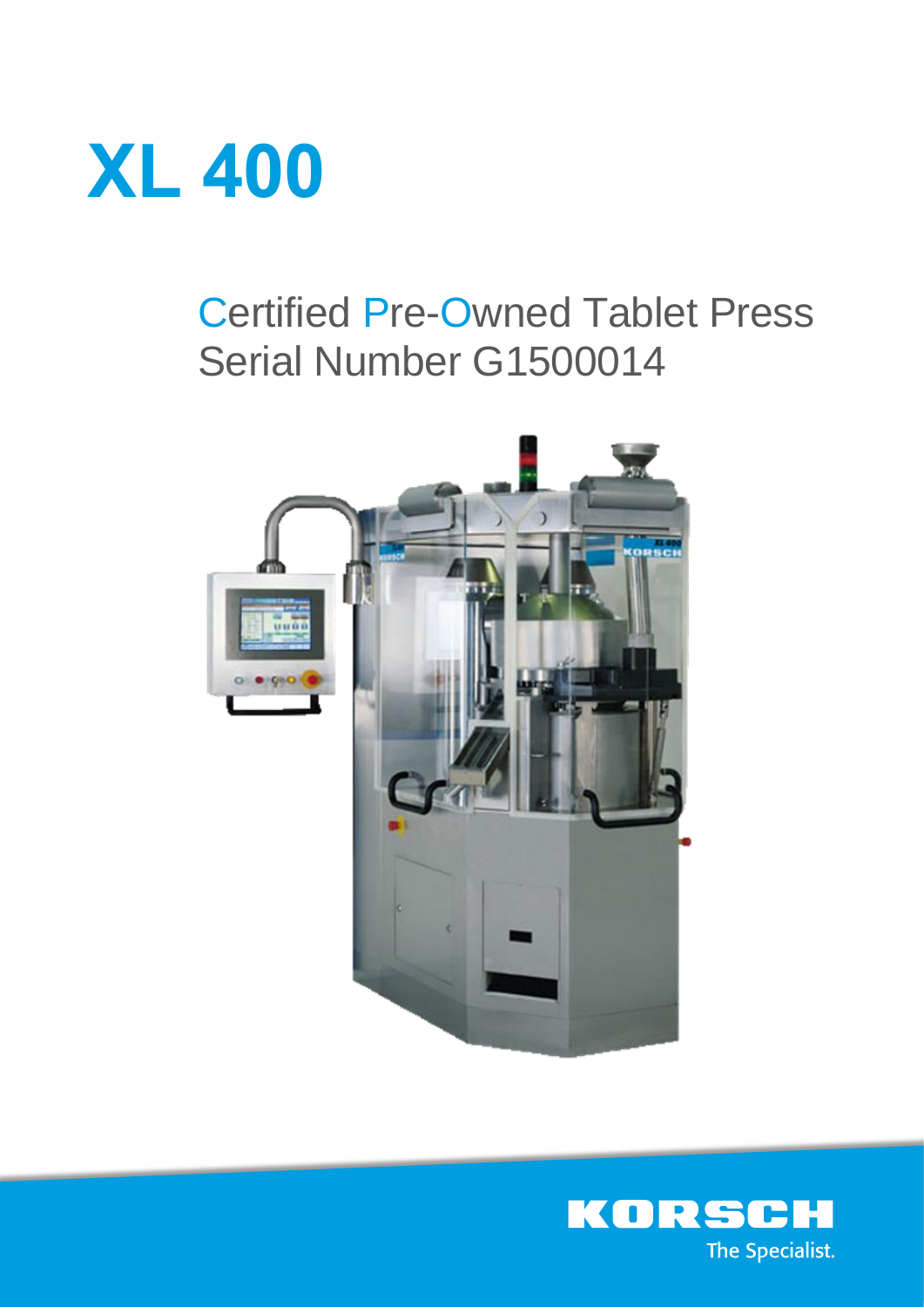

# Certified Pre-Owned Tablet Press Serial Number G1500014



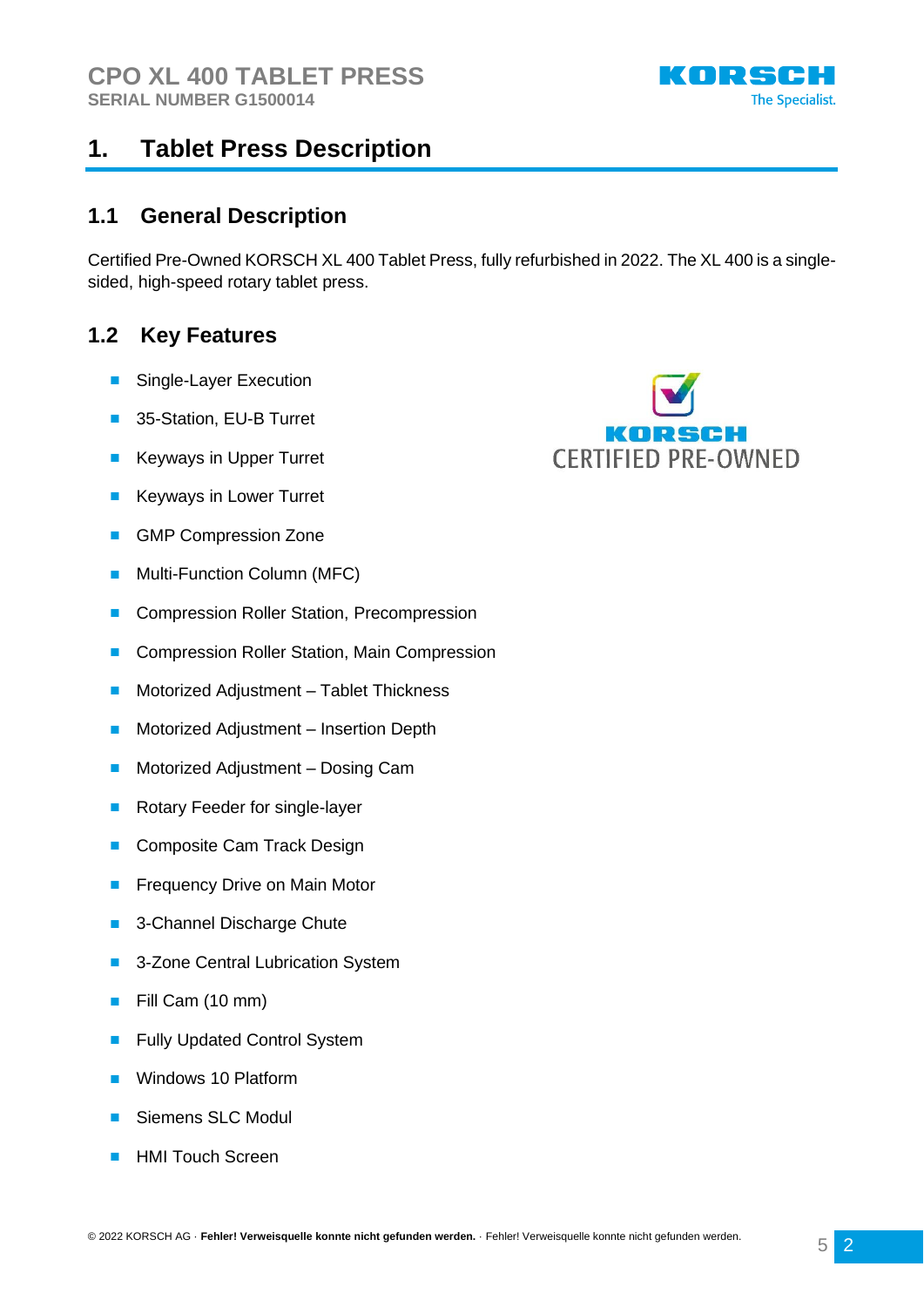

### **1.1 General Description**

Certified Pre-Owned KORSCH XL 400 Tablet Press, fully refurbished in 2022. The XL 400 is a singlesided, high-speed rotary tablet press.

### **1.2 Key Features**

- Single-Layer Execution
- 35-Station, EU-B Turret
- **Keyways in Upper Turret**
- Keyways in Lower Turret
- GMP Compression Zone
- Multi-Function Column (MFC)
- Compression Roller Station, Precompression
- Compression Roller Station, Main Compression
- Motorized Adjustment Tablet Thickness
- Motorized Adjustment Insertion Depth
- Motorized Adjustment Dosing Cam
- Rotary Feeder for single-layer
- Composite Cam Track Design
- Frequency Drive on Main Motor
- 3-Channel Discharge Chute
- 3-Zone Central Lubrication System
- Fill Cam (10 mm)
- **Fully Updated Control System**
- Windows 10 Platform
- Siemens SLC Modul
- HMI Touch Screen



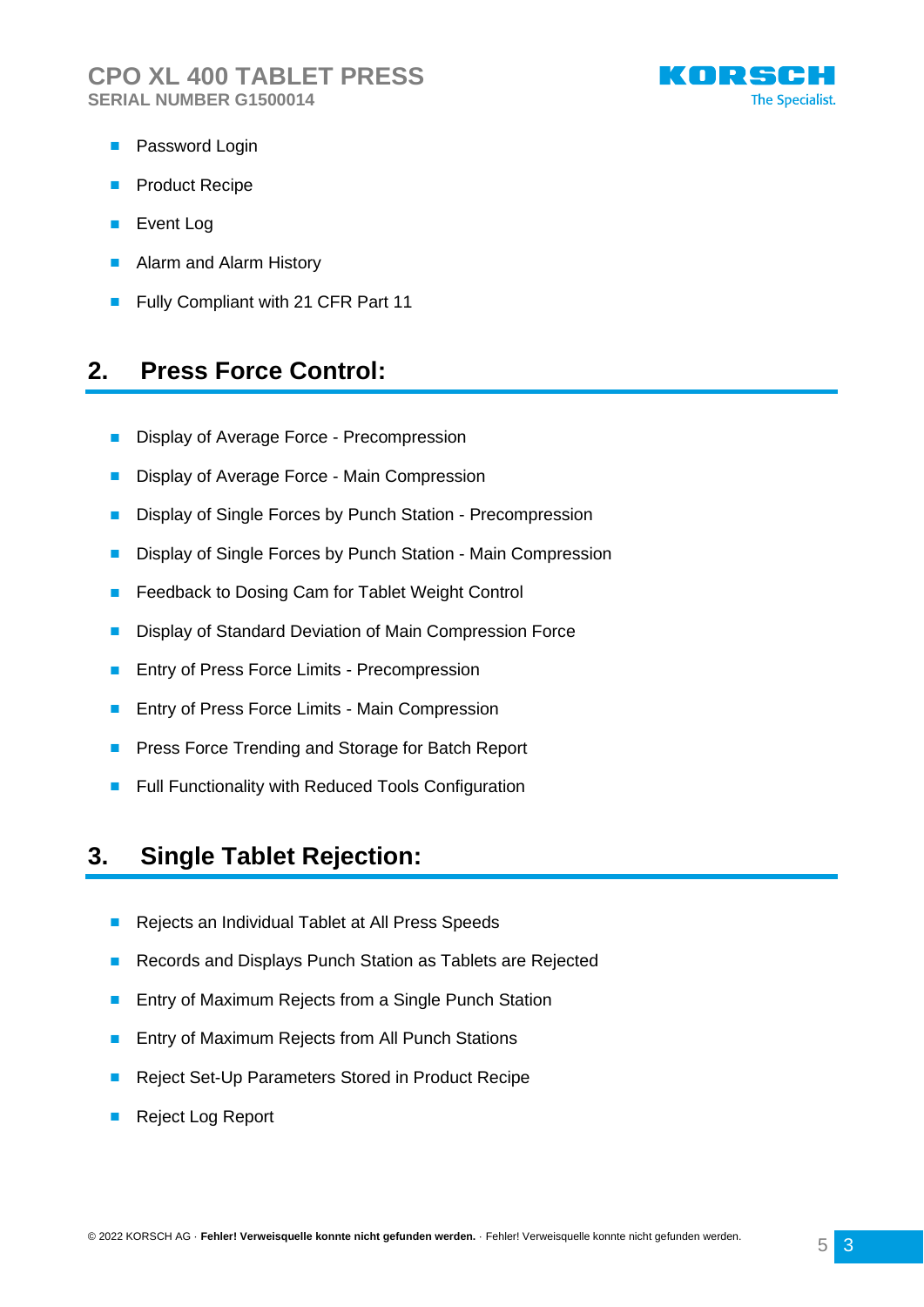

- Password Login
- Product Recipe
- Event Log
- Alarm and Alarm History
- Fully Compliant with 21 CFR Part 11

### **2. Press Force Control:**

- Display of Average Force Precompression
- Display of Average Force Main Compression
- Display of Single Forces by Punch Station Precompression
- Display of Single Forces by Punch Station Main Compression
- Feedback to Dosing Cam for Tablet Weight Control
- Display of Standard Deviation of Main Compression Force
- Entry of Press Force Limits Precompression
- Entry of Press Force Limits Main Compression
- Press Force Trending and Storage for Batch Report
- Full Functionality with Reduced Tools Configuration

### **3. Single Tablet Rejection:**

- Rejects an Individual Tablet at All Press Speeds
- Records and Displays Punch Station as Tablets are Rejected
- Entry of Maximum Rejects from a Single Punch Station
- Entry of Maximum Rejects from All Punch Stations
- Reject Set-Up Parameters Stored in Product Recipe
- Reject Log Report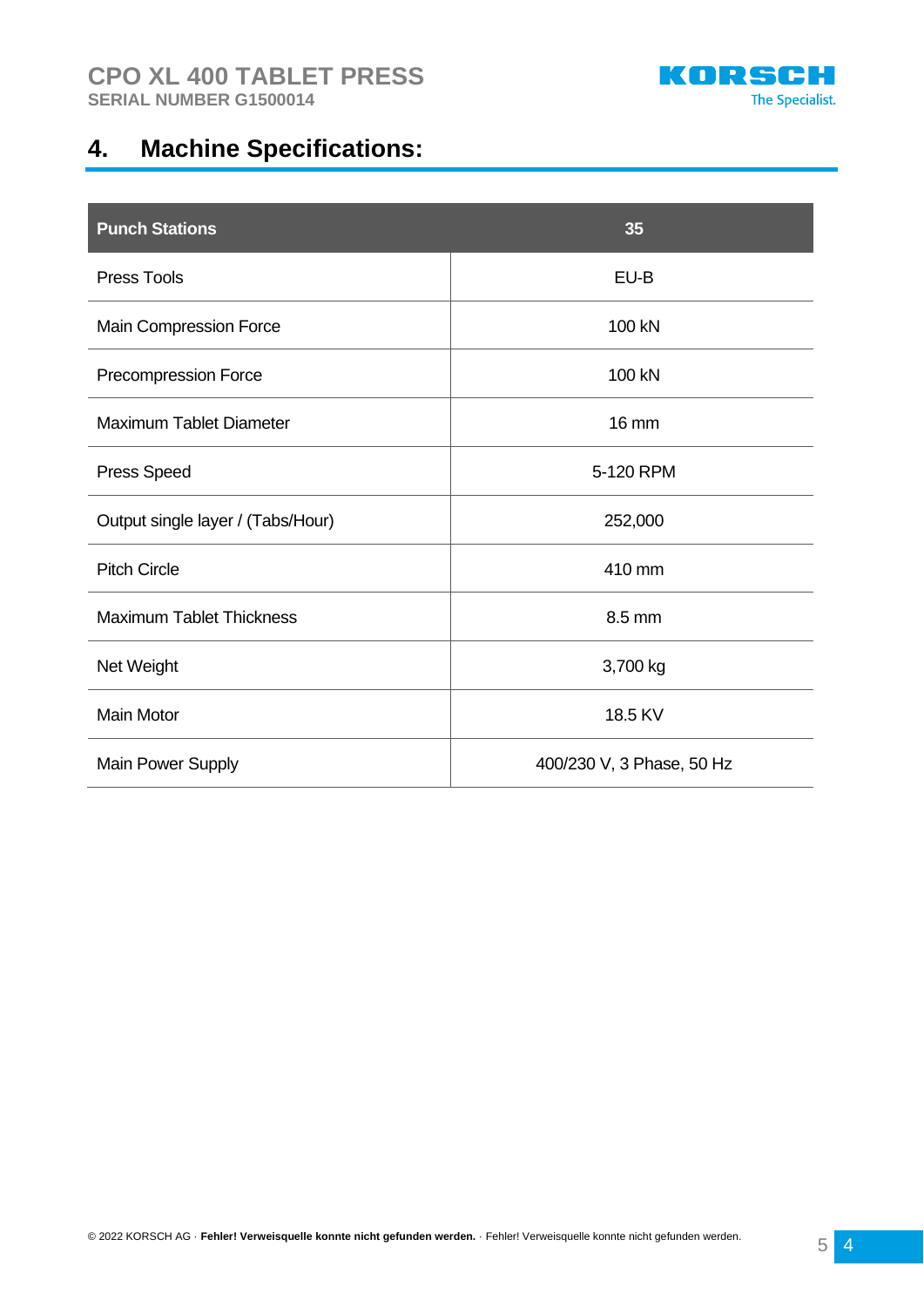

# **4. Machine Specifications:**

| <b>Punch Stations</b>             | 35                        |
|-----------------------------------|---------------------------|
| <b>Press Tools</b>                | EU-B                      |
| Main Compression Force            | 100 kN                    |
| Precompression Force              | 100 kN                    |
| <b>Maximum Tablet Diameter</b>    | <b>16 mm</b>              |
| <b>Press Speed</b>                | 5-120 RPM                 |
| Output single layer / (Tabs/Hour) | 252,000                   |
| <b>Pitch Circle</b>               | 410 mm                    |
| <b>Maximum Tablet Thickness</b>   | 8.5 mm                    |
| Net Weight                        | 3,700 kg                  |
| <b>Main Motor</b>                 | 18.5 KV                   |
| Main Power Supply                 | 400/230 V, 3 Phase, 50 Hz |